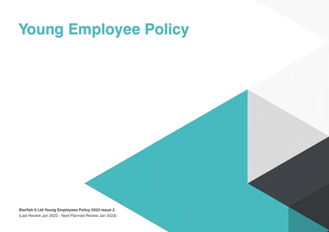# **Young Employee Policy**

**Starfish 9 Ltd Young Employees Policy 2022-Issue 2**  (Last Review Jan 2022 - Next Planned Review Jan 2023)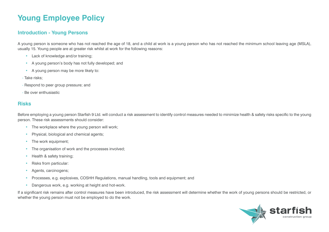# **Young Employee Policy**

#### **Introduction - Young Persons**

A young person is someone who has not reached the age of 18, and a child at work is a young person who has not reached the minimum school leaving age (MSLA), usually 15. Young people are at greater risk whilst at work for the following reasons:

- Lack of knowledge and/or training;
- A young person's body has not fully developed; and
- A young person may be more likely to:
- Take risks;
- Respond to peer group pressure; and
- Be over enthusiastic

#### **Risks**

Before employing a young person Starfish 9 Ltd. will conduct a risk assessment to identify control measures needed to minimize health & safety risks specific to the young person. These risk assessments should consider:

- The workplace where the young person will work;
- Physical, biological and chemical agents;
- The work equipment;
- The organisation of work and the processes involved;
- Health & safety training:
- Risks from particular:
- Agents, carcinogens;
- Processes, e.g. explosives, COSHH Regulations, manual handling, tools and equipment; and
- Dangerous work, e.g. working at height and hot-work.

If a significant risk remains after control measures have been introduced, the risk assessment will determine whether the work of young persons should be restricted, or whether the young person must not be employed to do the work.

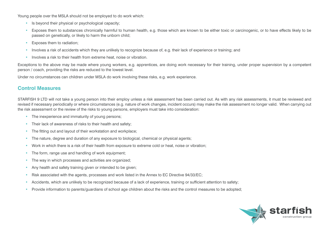Young people over the MSLA should not be employed to do work which:

- Is beyond their physical or psychological capacity;
- Exposes them to substances chronically harmful to human health, e.g. those which are known to be either toxic or carcinogenic, or to have effects likely to be passed on genetically, or likely to harm the unborn child;
- Exposes them to radiation;
- Involves a risk of accidents which they are unlikely to recognize because of, e.g. their lack of experience or training; and
- Involves a risk to their health from extreme heat, noise or vibration.

Exceptions to the above may be made where young workers, e.g. apprentices, are doing work necessary for their training, under proper supervision by a competent person / coach, providing the risks are reduced to the lowest level.

Under no circumstances can children under MSLA do work involving these risks, e.g. work experience.

#### **Control Measures**

STARFISH 9 LTD will not take a young person into their employ unless a risk assessment has been carried out. As with any risk assessments, it must be reviewed and revised if necessary periodically or where circumstances (e.g. nature of work changes, incident occurs) may make the risk assessment no longer valid. When carrying out the risk assessment or the review of the risks to young persons, employers must take into consideration:

- The inexperience and immaturity of young persons;
- Their lack of awareness of risks to their health and safety;
- The fitting out and layout of their workstation and workplace;
- The nature, degree and duration of any exposure to biological, chemical or physical agents;
- Work in which there is a risk of their health from exposure to extreme cold or heat, noise or vibration;
- The form, range use and handling of work equipment;
- The way in which processes and activities are organized;
- Any health and safety training given or intended to be given;
- Risk associated with the agents, processes and work listed in the Annex to EC Directive 94/33/EC;
- Accidents, which are unlikely to be recognized because of a lack of experience, training or sufficient attention to safety;
- Provide information to parents/guardians of school age children about the risks and the control measures to be adopted;

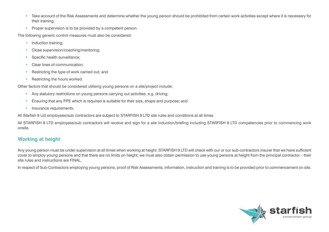- Take account of the Risk Assessments and determine whether the young person should be prohibited from certain work activities except where it is necessary for their training;
- Proper supervision is to be provided by a competent person.

The following generic control measures must also be considered:

- Induction training:
- Close supervision/coaching/mentoring;
- Specific health surveillance;
- Clear lines of communication;
- Restricting the type of work carried out; and
- Restricting the hours worked.

Other factors that should be considered utilising young persons on a site/project include:

- Any statutory restrictions on young persons carrying out activities, e.g. driving;
- Ensuring that any PPE which is required is suitable for their size, shape and purpose; and
- Insurance requirements.

All Starfish 9 Ltd employees/sub contractors are subject to STARFISH 9 LTD site rules and conditions at all times.

All STARFISH 9 LTD employees/sub contractors will receive and sign for a site induction/briefing including STARFISH 9 LTD competencies prior to commencing work onsite.

## **Working at height**

Any young person must be under supervision at all times when working at height. STARFISH 9 LTD will check with our or our sub-contractors insurer that we have sufficient cover to employ young persons and that there are no limits on height; we must also obtain permission to use young persons at height from the principal contractor – their site rules and instructions are FINAL.

In respect of Sub-Contractors employing young persons, proof of Risk Assessments, information, instruction and training is to be provided prior to commencement on site.